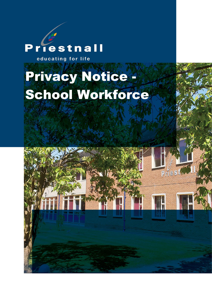# riestnall D

educating for life

# Privacy Notice - School Workforce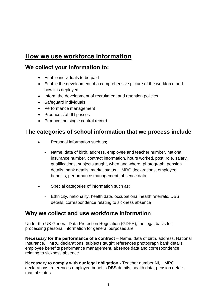# **How we use workforce information**

### **We collect your information to;**

- Enable individuals to be paid
- Enable the development of a comprehensive picture of the workforce and how it is deployed
- Inform the development of recruitment and retention policies
- Safeguard individuals
- Performance management
- Produce staff ID passes
- Produce the single central record

#### **The categories of school information that we process include**

- Personal information such as:
	- Name, data of birth, address, employee and teacher number, national insurance number, contract information, hours worked, post, role, salary, qualifications, subjects taught, when and where, photograph, pension details, bank details, marital status, HMRC declarations, employee benefits, performance management, absence data
- Special categories of information such as;
	- Ethnicity, nationality, health data, occupational health referrals, DBS details, correspondence relating to sickness absence

#### **Why we collect and use workforce information**

Under the UK General Data Protection Regulation (GDPR), the legal basis for processing personal information for general purposes are:

**Necessary for the performance of a contract** – Name, data of birth, address, National Insurance, HMRC declarations, subjects taught references photograph bank details employee benefits performance management, absence data and correspondence relating to sickness absence

**Necessary to comply with our legal obligation -** Teacher number NI, HMRC declarations, references employee benefits DBS details, health data, pension details, marital status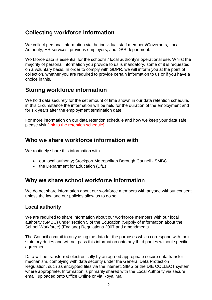# **Collecting workforce information**

We collect personal information via the individual staff members/Governors, Local Authority, HR services, previous employers, and DBS department.

Workforce data is essential for the school's / local authority's operational use. Whilst the majority of personal information you provide to us is mandatory, some of it is requested on a voluntary basis. In order to comply with GDPR, we will inform you at the point of collection, whether you are required to provide certain information to us or if you have a choice in this.

#### **Storing workforce information**

We hold data securely for the set amount of time shown in our data retention schedule, in this circumstance the information will be held for the duration of the employment and for six years after the employment termination date.

For more information on our data retention schedule and how we keep your data safe, please visit [link to the retention schedule]

#### **Who we share workforce information with**

We routinely share this information with:

- our local authority; Stockport Metropolitan Borough Council SMBC
- the Department for Education (DfE)

#### **Why we share school workforce information**

We do not share information about our workforce members with anyone without consent unless the law and our policies allow us to do so.

#### **Local authority**

We are required to share information about our workforce members with our local authority (SMBC) under section 5 of the Education (Supply of Information about the School Workforce) (England) Regulations 2007 and amendments.

The Council commit to only using the data for the purposes which correspond with their statutory duties and will not pass this information onto any third parties without specific agreement.

Data will be transferred electronically by an agreed appropriate secure data transfer mechanism, complying with data security under the General Data Protection Regulation, such as encrypted files via the internet, SIMS or the DfE COLLECT system, where appropriate. Information is primarily shared with the Local Authority via secure email, uploaded onto Office Online or via Royal Mail.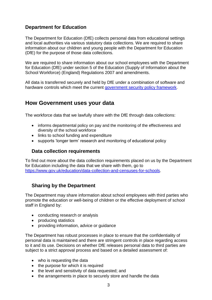#### **Department for Education**

The Department for Education (DfE) collects personal data from educational settings and local authorities via various statutory data collections. We are required to share information about our children and young people with the Department for Education (DfE) for the purpose of those data collections.

We are required to share information about our school employees with the Department for Education (DfE) under section 5 of the Education (Supply of Information about the School Workforce) (England) Regulations 2007 and amendments.

All data is transferred securely and held by DfE under a combination of software and hardware controls which meet the current [government security policy framework.](https://www.gov.uk/government/publications/security-policy-framework)

#### **How Government uses your data**

The workforce data that we lawfully share with the DfE through data collections:

- informs departmental policy on pay and the monitoring of the effectiveness and diversity of the school workforce
- links to school funding and expenditure
- supports 'longer term' research and monitoring of educational policy

#### **Data collection requirements**

To find out more about the data collection requirements placed on us by the Department for Education including the data that we share with them, go to [https://www.gov.uk/education/data-collection-and-censuses-for-schools.](https://www.gov.uk/education/data-collection-and-censuses-for-schools)

#### **Sharing by the Department**

The Department may share information about school employees with third parties who promote the education or well-being of children or the effective deployment of school staff in England by:

- conducting research or analysis
- producing statistics
- providing information, advice or guidance

The Department has robust processes in place to ensure that the confidentiality of personal data is maintained and there are stringent controls in place regarding access to it and its use. Decisions on whether DfE releases personal data to third parties are subject to a strict approval process and based on a detailed assessment of:

- who is requesting the data
- the purpose for which it is required
- the level and sensitivity of data requested; and
- the arrangements in place to securely store and handle the data